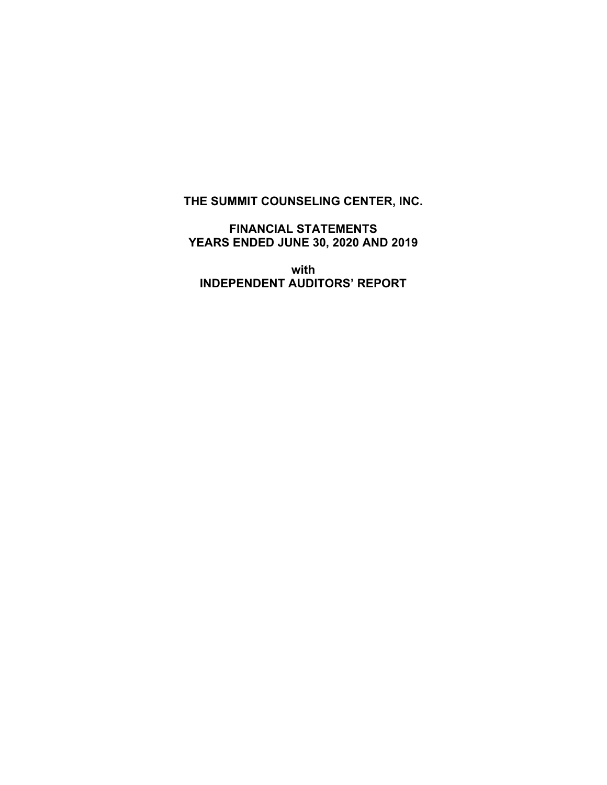**THE SUMMIT COUNSELING CENTER, INC.** 

**FINANCIAL STATEMENTS YEARS ENDED JUNE 30, 2020 AND 2019** 

**with INDEPENDENT AUDITORS' REPORT**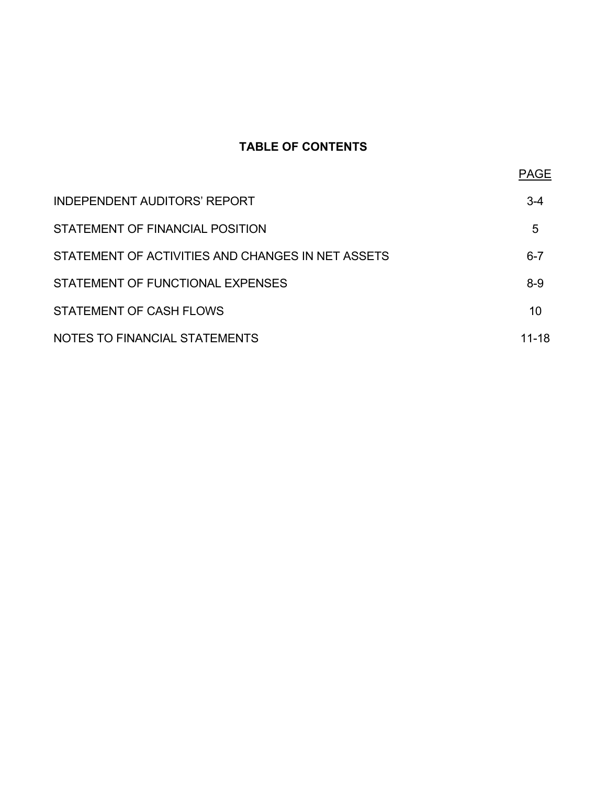# **TABLE OF CONTENTS**

| <b>INDEPENDENT AUDITORS' REPORT</b>               | $3 - 4$ |
|---------------------------------------------------|---------|
| STATEMENT OF FINANCIAL POSITION                   | 5       |
| STATEMENT OF ACTIVITIES AND CHANGES IN NET ASSETS | $6 - 7$ |
| STATEMENT OF FUNCTIONAL EXPENSES                  | $8-9$   |
| STATEMENT OF CASH FLOWS                           | 10      |
| NOTES TO FINANCIAL STATEMENTS                     | 11-18   |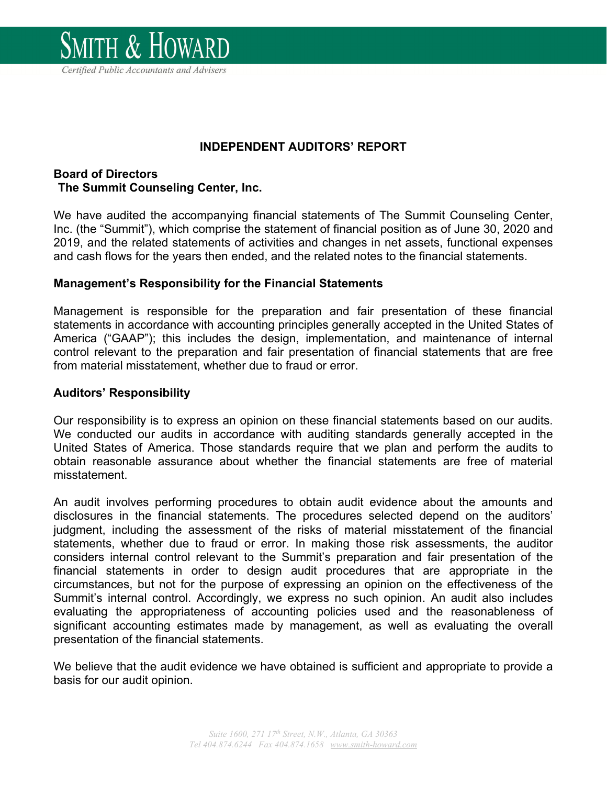

# **INDEPENDENT AUDITORS' REPORT**

# **Board of Directors The Summit Counseling Center, Inc.**

We have audited the accompanying financial statements of The Summit Counseling Center, Inc. (the "Summit"), which comprise the statement of financial position as of June 30, 2020 and 2019, and the related statements of activities and changes in net assets, functional expenses and cash flows for the years then ended, and the related notes to the financial statements.

## **Management's Responsibility for the Financial Statements**

Management is responsible for the preparation and fair presentation of these financial statements in accordance with accounting principles generally accepted in the United States of America ("GAAP"); this includes the design, implementation, and maintenance of internal control relevant to the preparation and fair presentation of financial statements that are free from material misstatement, whether due to fraud or error.

### **Auditors' Responsibility**

Our responsibility is to express an opinion on these financial statements based on our audits. We conducted our audits in accordance with auditing standards generally accepted in the United States of America. Those standards require that we plan and perform the audits to obtain reasonable assurance about whether the financial statements are free of material misstatement.

An audit involves performing procedures to obtain audit evidence about the amounts and disclosures in the financial statements. The procedures selected depend on the auditors' judgment, including the assessment of the risks of material misstatement of the financial statements, whether due to fraud or error. In making those risk assessments, the auditor considers internal control relevant to the Summit's preparation and fair presentation of the financial statements in order to design audit procedures that are appropriate in the circumstances, but not for the purpose of expressing an opinion on the effectiveness of the Summit's internal control. Accordingly, we express no such opinion. An audit also includes evaluating the appropriateness of accounting policies used and the reasonableness of significant accounting estimates made by management, as well as evaluating the overall presentation of the financial statements.

We believe that the audit evidence we have obtained is sufficient and appropriate to provide a basis for our audit opinion.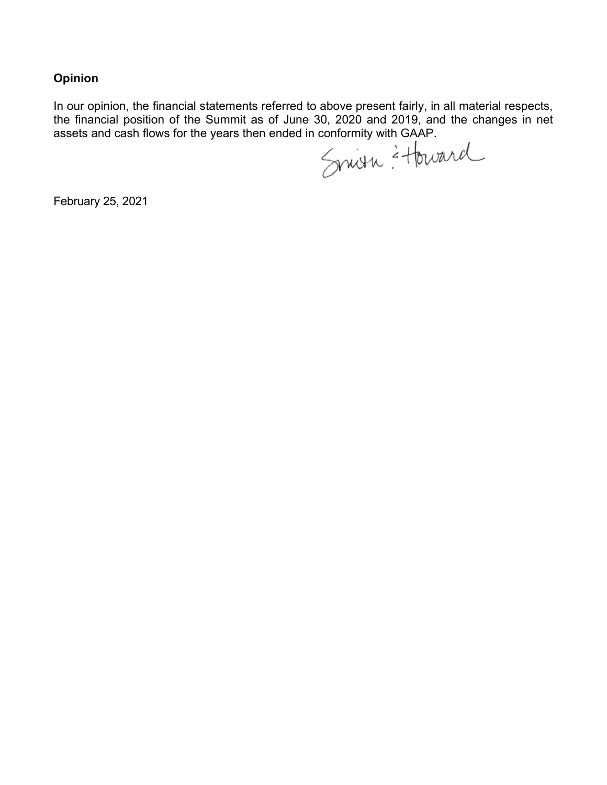**Opinion**

In our opinion, the financial statements referred to above present fairly, in all material respects, the financial position of the Summit as of June 30, 2020 and 2019, and the changes in net assets and cash flows for the years then ended in conformity with GAAP.<br>
Symbol  $\frac{2}{3} + \frac{1}{6}$ 

February 25, 2021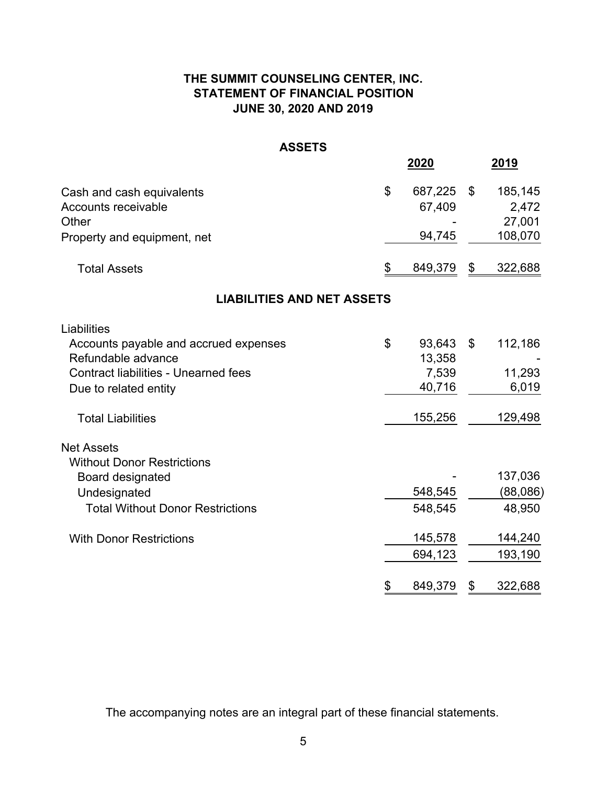# **THE SUMMIT COUNSELING CENTER, INC. STATEMENT OF FINANCIAL POSITION JUNE 30, 2020 AND 2019**

| <b>ASSETS</b>                                           |                         |                           |                  |
|---------------------------------------------------------|-------------------------|---------------------------|------------------|
|                                                         | 2020                    |                           | 2019             |
| Cash and cash equivalents<br><b>Accounts receivable</b> | \$<br>687,225<br>67,409 | \$                        | 185,145<br>2,472 |
| Other                                                   |                         |                           | 27,001           |
| Property and equipment, net                             | 94,745                  |                           | 108,070          |
| <b>Total Assets</b>                                     | \$<br>849,379           | \$                        | 322,688          |
| <b>LIABILITIES AND NET ASSETS</b>                       |                         |                           |                  |
| Liabilities                                             |                         |                           |                  |
| Accounts payable and accrued expenses                   | \$<br>93,643            | $\boldsymbol{\mathsf{S}}$ | 112,186          |
| Refundable advance                                      | 13,358                  |                           |                  |
| <b>Contract liabilities - Unearned fees</b>             | 7,539                   |                           | 11,293           |
| Due to related entity                                   | 40,716                  |                           | 6,019            |
| <b>Total Liabilities</b>                                | 155,256                 |                           | 129,498          |
| <b>Net Assets</b>                                       |                         |                           |                  |
| <b>Without Donor Restrictions</b>                       |                         |                           |                  |
| Board designated                                        |                         |                           | 137,036          |
| Undesignated                                            | 548,545                 |                           | (88,086)         |
| <b>Total Without Donor Restrictions</b>                 | 548,545                 |                           | 48,950           |
| <b>With Donor Restrictions</b>                          | 145,578                 |                           | 144,240          |
|                                                         | 694,123                 |                           | 193,190          |
|                                                         | \$<br>849,379           | \$                        | 322,688          |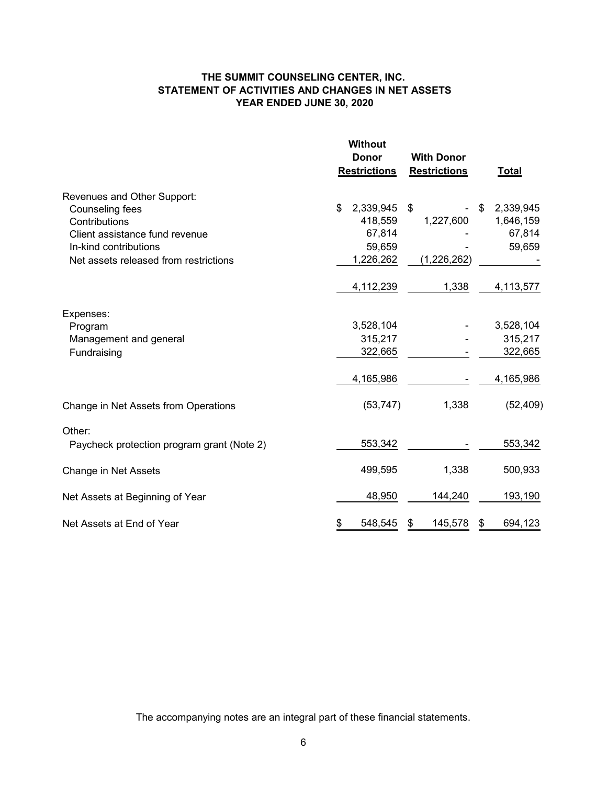#### **THE SUMMIT COUNSELING CENTER, INC. STATEMENT OF ACTIVITIES AND CHANGES IN NET ASSETS YEAR ENDED JUNE 30, 2020**

| Revenues and Other Support:<br>\$<br>2,339,945<br>\$<br>\$<br>Counseling fees<br>1,227,600<br>418,559<br>Contributions<br>67,814<br>Client assistance fund revenue<br>In-kind contributions<br>59,659<br>1,226,262<br>(1, 226, 262)<br>Net assets released from restrictions<br>4,112,239<br>1,338<br>Expenses:<br>3,528,104<br>Program<br>Management and general<br>315,217 | <b>Total</b> |
|------------------------------------------------------------------------------------------------------------------------------------------------------------------------------------------------------------------------------------------------------------------------------------------------------------------------------------------------------------------------------|--------------|
|                                                                                                                                                                                                                                                                                                                                                                              |              |
|                                                                                                                                                                                                                                                                                                                                                                              | 2,339,945    |
|                                                                                                                                                                                                                                                                                                                                                                              | 1,646,159    |
|                                                                                                                                                                                                                                                                                                                                                                              | 67,814       |
|                                                                                                                                                                                                                                                                                                                                                                              | 59,659       |
|                                                                                                                                                                                                                                                                                                                                                                              |              |
|                                                                                                                                                                                                                                                                                                                                                                              | 4,113,577    |
|                                                                                                                                                                                                                                                                                                                                                                              |              |
|                                                                                                                                                                                                                                                                                                                                                                              | 3,528,104    |
|                                                                                                                                                                                                                                                                                                                                                                              | 315,217      |
| 322,665<br>Fundraising                                                                                                                                                                                                                                                                                                                                                       | 322,665      |
| 4,165,986                                                                                                                                                                                                                                                                                                                                                                    | 4,165,986    |
| (53, 747)<br>1,338<br>Change in Net Assets from Operations                                                                                                                                                                                                                                                                                                                   | (52, 409)    |
| Other:                                                                                                                                                                                                                                                                                                                                                                       |              |
| 553,342<br>Paycheck protection program grant (Note 2)                                                                                                                                                                                                                                                                                                                        | 553,342      |
| 499,595<br>1,338<br>Change in Net Assets                                                                                                                                                                                                                                                                                                                                     | 500,933      |
| 48,950<br>144,240<br>Net Assets at Beginning of Year                                                                                                                                                                                                                                                                                                                         | 193,190      |
| 548,545<br>145,578<br>Net Assets at End of Year<br>\$<br>S<br>S                                                                                                                                                                                                                                                                                                              | 694,123      |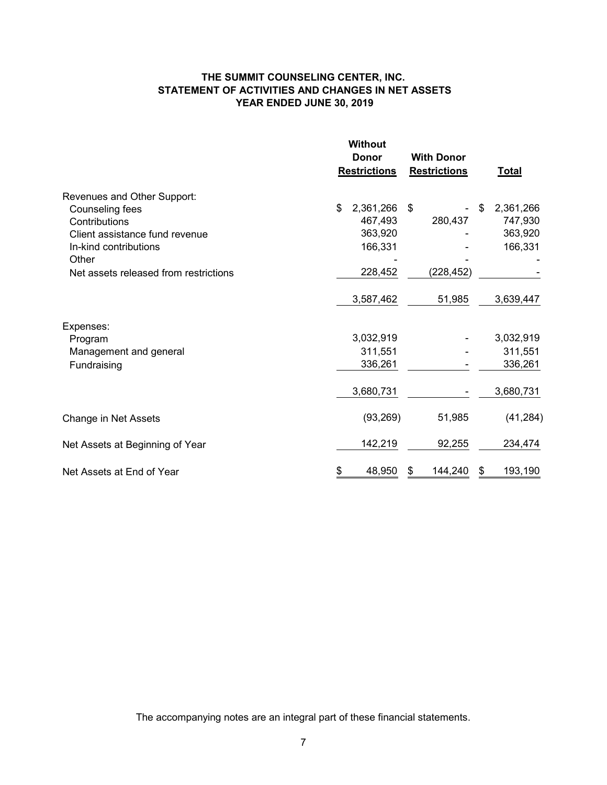#### **THE SUMMIT COUNSELING CENTER, INC. STATEMENT OF ACTIVITIES AND CHANGES IN NET ASSETS YEAR ENDED JUNE 30, 2019**

|                                       | <b>Without</b><br><b>Donor</b><br><b>Restrictions</b> | <b>With Donor</b><br><b>Restrictions</b> | <u>Total</u>    |
|---------------------------------------|-------------------------------------------------------|------------------------------------------|-----------------|
| Revenues and Other Support:           |                                                       |                                          |                 |
| Counseling fees                       | \$<br>2,361,266                                       | \$                                       | 2,361,266<br>\$ |
| Contributions                         | 467,493                                               | 280,437                                  | 747,930         |
| Client assistance fund revenue        | 363,920                                               |                                          | 363,920         |
| In-kind contributions<br>Other        | 166,331                                               |                                          | 166,331         |
| Net assets released from restrictions | 228,452                                               | (228,452)                                |                 |
|                                       | 3,587,462                                             | 51,985                                   | 3,639,447       |
| Expenses:                             |                                                       |                                          |                 |
| Program                               | 3,032,919                                             |                                          | 3,032,919       |
| Management and general                | 311,551                                               |                                          | 311,551         |
| Fundraising                           | 336,261                                               |                                          | 336,261         |
|                                       | 3,680,731                                             |                                          | 3,680,731       |
| Change in Net Assets                  | (93, 269)                                             | 51,985                                   | (41, 284)       |
| Net Assets at Beginning of Year       | 142,219                                               | 92,255                                   | 234,474         |
| Net Assets at End of Year             | 48,950<br>\$                                          | 144,240<br>\$                            | 193,190<br>S    |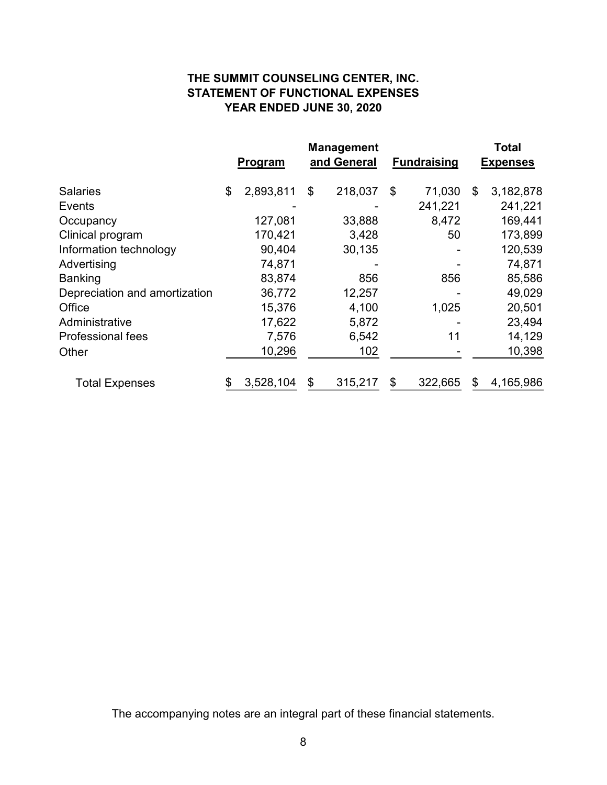# **THE SUMMIT COUNSELING CENTER, INC. STATEMENT OF FUNCTIONAL EXPENSES YEAR ENDED JUNE 30, 2020**

|                               | Program         | <b>Management</b><br>and General | <b>Fundraising</b> | <b>Total</b><br><b>Expenses</b> |
|-------------------------------|-----------------|----------------------------------|--------------------|---------------------------------|
| <b>Salaries</b>               | \$<br>2,893,811 | \$<br>218,037                    | \$<br>71,030       | \$<br>3,182,878                 |
| Events                        |                 |                                  | 241,221            | 241,221                         |
| Occupancy                     | 127,081         | 33,888                           | 8,472              | 169,441                         |
| Clinical program              | 170,421         | 3,428                            | 50                 | 173,899                         |
| Information technology        | 90,404          | 30,135                           |                    | 120,539                         |
| Advertising                   | 74,871          |                                  |                    | 74,871                          |
| <b>Banking</b>                | 83,874          | 856                              | 856                | 85,586                          |
| Depreciation and amortization | 36,772          | 12,257                           |                    | 49,029                          |
| Office                        | 15,376          | 4,100                            | 1,025              | 20,501                          |
| Administrative                | 17,622          | 5,872                            |                    | 23,494                          |
| <b>Professional fees</b>      | 7,576           | 6,542                            | 11                 | 14,129                          |
| Other                         | 10,296          | 102                              |                    | 10,398                          |
| <b>Total Expenses</b>         | \$<br>3,528,104 | \$<br>315,217                    | \$<br>322,665      | \$<br>4,165,986                 |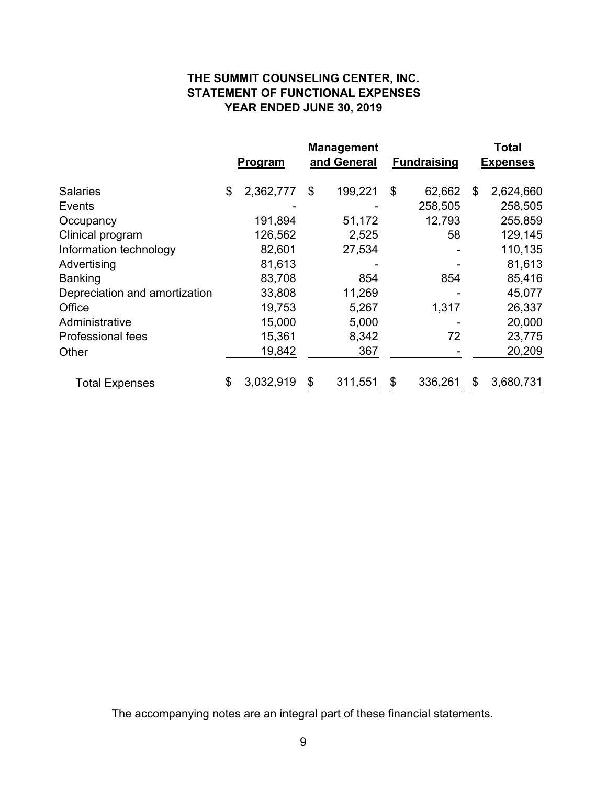# **THE SUMMIT COUNSELING CENTER, INC. STATEMENT OF FUNCTIONAL EXPENSES YEAR ENDED JUNE 30, 2019**

|                               | Program         | <b>Management</b><br>and General | <b>Fundraising</b> |    | <b>Total</b><br><b>Expenses</b> |
|-------------------------------|-----------------|----------------------------------|--------------------|----|---------------------------------|
| <b>Salaries</b>               | \$<br>2,362,777 | \$<br>199,221                    | \$<br>62,662       | \$ | 2,624,660                       |
| Events                        |                 |                                  | 258,505            |    | 258,505                         |
| Occupancy                     | 191,894         | 51,172                           | 12,793             |    | 255,859                         |
| Clinical program              | 126,562         | 2,525                            | 58                 |    | 129,145                         |
| Information technology        | 82,601          | 27,534                           |                    |    | 110,135                         |
| Advertising                   | 81,613          |                                  |                    |    | 81,613                          |
| <b>Banking</b>                | 83,708          | 854                              | 854                |    | 85,416                          |
| Depreciation and amortization | 33,808          | 11,269                           |                    |    | 45,077                          |
| Office                        | 19,753          | 5,267                            | 1,317              |    | 26,337                          |
| Administrative                | 15,000          | 5,000                            |                    |    | 20,000                          |
| <b>Professional fees</b>      | 15,361          | 8,342                            | 72                 |    | 23,775                          |
| Other                         | 19,842          | 367                              |                    |    | 20,209                          |
| <b>Total Expenses</b>         | \$<br>3,032,919 | \$<br>311,551                    | \$<br>336,261      | S  | 3,680,731                       |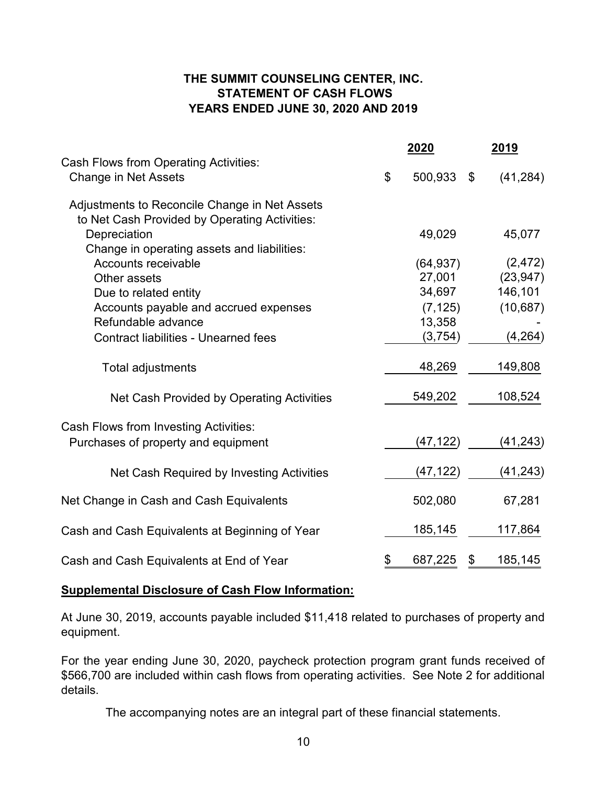# **THE SUMMIT COUNSELING CENTER, INC. STATEMENT OF CASH FLOWS YEARS ENDED JUNE 30, 2020 AND 2019**

|                                                                                                | 2020                |                           | 2019                  |
|------------------------------------------------------------------------------------------------|---------------------|---------------------------|-----------------------|
| <b>Cash Flows from Operating Activities:</b><br><b>Change in Net Assets</b>                    | \$<br>500,933       | $\boldsymbol{\mathsf{S}}$ | (41, 284)             |
| Adjustments to Reconcile Change in Net Assets<br>to Net Cash Provided by Operating Activities: |                     |                           |                       |
| Depreciation<br>Change in operating assets and liabilities:                                    | 49,029              |                           | 45,077                |
| <b>Accounts receivable</b><br>Other assets                                                     | (64, 937)<br>27,001 |                           | (2, 472)<br>(23, 947) |
| Due to related entity                                                                          | 34,697              |                           | 146,101               |
| Accounts payable and accrued expenses<br>Refundable advance                                    | (7, 125)<br>13,358  |                           | (10, 687)             |
| <b>Contract liabilities - Unearned fees</b>                                                    | (3, 754)            |                           | (4, 264)              |
| Total adjustments                                                                              | 48,269              |                           | 149,808               |
| Net Cash Provided by Operating Activities                                                      | 549,202             |                           | 108,524               |
| Cash Flows from Investing Activities:                                                          |                     |                           |                       |
| Purchases of property and equipment                                                            | (47,122)            |                           | (41, 243)             |
| Net Cash Required by Investing Activities                                                      | (47, 122)           |                           | (41, 243)             |
| Net Change in Cash and Cash Equivalents                                                        | 502,080             |                           | 67,281                |
| Cash and Cash Equivalents at Beginning of Year                                                 | 185,145             |                           | 117,864               |
| Cash and Cash Equivalents at End of Year                                                       | \$<br>687,225       | \$                        | 185,145               |

# **Supplemental Disclosure of Cash Flow Information:**

At June 30, 2019, accounts payable included \$11,418 related to purchases of property and equipment.

For the year ending June 30, 2020, paycheck protection program grant funds received of \$566,700 are included within cash flows from operating activities. See Note 2 for additional details.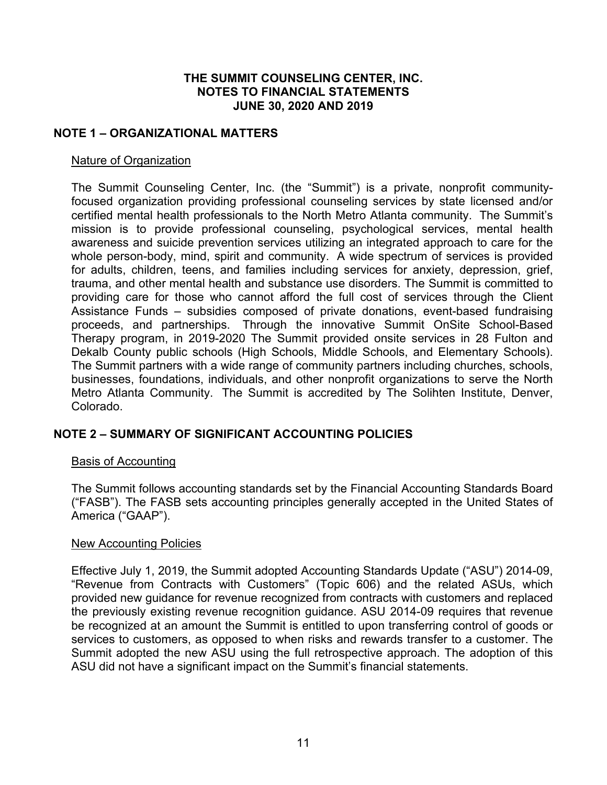# **NOTE 1 – ORGANIZATIONAL MATTERS**

## Nature of Organization

The Summit Counseling Center, Inc. (the "Summit") is a private, nonprofit communityfocused organization providing professional counseling services by state licensed and/or certified mental health professionals to the North Metro Atlanta community. The Summit's mission is to provide professional counseling, psychological services, mental health awareness and suicide prevention services utilizing an integrated approach to care for the whole person-body, mind, spirit and community. A wide spectrum of services is provided for adults, children, teens, and families including services for anxiety, depression, grief, trauma, and other mental health and substance use disorders. The Summit is committed to providing care for those who cannot afford the full cost of services through the Client Assistance Funds – subsidies composed of private donations, event-based fundraising proceeds, and partnerships. Through the innovative Summit OnSite School-Based Therapy program, in 2019-2020 The Summit provided onsite services in 28 Fulton and Dekalb County public schools (High Schools, Middle Schools, and Elementary Schools). The Summit partners with a wide range of community partners including churches, schools, businesses, foundations, individuals, and other nonprofit organizations to serve the North Metro Atlanta Community. The Summit is accredited by The Solihten Institute, Denver, Colorado.

## **NOTE 2 – SUMMARY OF SIGNIFICANT ACCOUNTING POLICIES**

#### Basis of Accounting

The Summit follows accounting standards set by the Financial Accounting Standards Board ("FASB"). The FASB sets accounting principles generally accepted in the United States of America ("GAAP").

#### New Accounting Policies

Effective July 1, 2019, the Summit adopted Accounting Standards Update ("ASU") 2014-09, "Revenue from Contracts with Customers" (Topic 606) and the related ASUs, which provided new guidance for revenue recognized from contracts with customers and replaced the previously existing revenue recognition guidance. ASU 2014-09 requires that revenue be recognized at an amount the Summit is entitled to upon transferring control of goods or services to customers, as opposed to when risks and rewards transfer to a customer. The Summit adopted the new ASU using the full retrospective approach. The adoption of this ASU did not have a significant impact on the Summit's financial statements.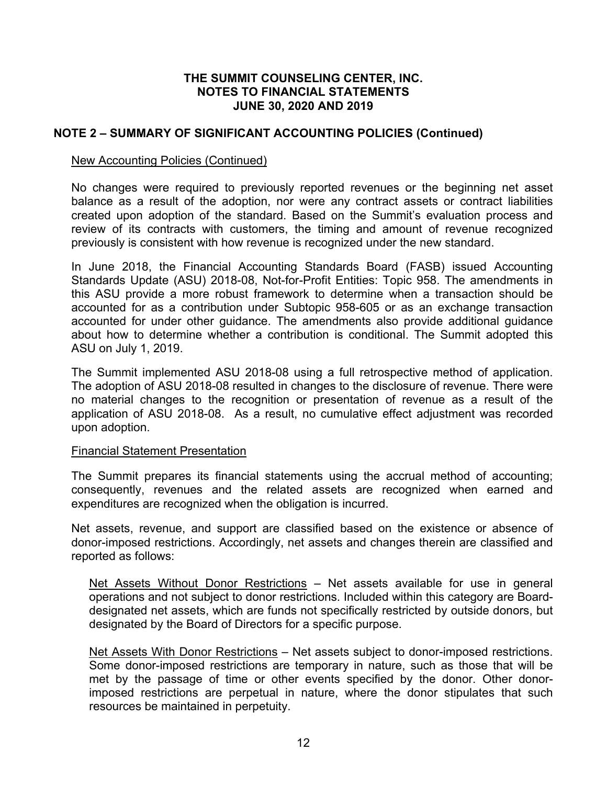## **NOTE 2 – SUMMARY OF SIGNIFICANT ACCOUNTING POLICIES (Continued)**

#### New Accounting Policies (Continued)

No changes were required to previously reported revenues or the beginning net asset balance as a result of the adoption, nor were any contract assets or contract liabilities created upon adoption of the standard. Based on the Summit's evaluation process and review of its contracts with customers, the timing and amount of revenue recognized previously is consistent with how revenue is recognized under the new standard.

In June 2018, the Financial Accounting Standards Board (FASB) issued Accounting Standards Update (ASU) 2018-08, Not-for-Profit Entities: Topic 958. The amendments in this ASU provide a more robust framework to determine when a transaction should be accounted for as a contribution under Subtopic 958-605 or as an exchange transaction accounted for under other guidance. The amendments also provide additional guidance about how to determine whether a contribution is conditional. The Summit adopted this ASU on July 1, 2019.

The Summit implemented ASU 2018-08 using a full retrospective method of application. The adoption of ASU 2018-08 resulted in changes to the disclosure of revenue. There were no material changes to the recognition or presentation of revenue as a result of the application of ASU 2018-08. As a result, no cumulative effect adjustment was recorded upon adoption.

#### Financial Statement Presentation

The Summit prepares its financial statements using the accrual method of accounting; consequently, revenues and the related assets are recognized when earned and expenditures are recognized when the obligation is incurred.

Net assets, revenue, and support are classified based on the existence or absence of donor-imposed restrictions. Accordingly, net assets and changes therein are classified and reported as follows:

Net Assets Without Donor Restrictions – Net assets available for use in general operations and not subject to donor restrictions. Included within this category are Boarddesignated net assets, which are funds not specifically restricted by outside donors, but designated by the Board of Directors for a specific purpose.

Net Assets With Donor Restrictions – Net assets subject to donor-imposed restrictions. Some donor-imposed restrictions are temporary in nature, such as those that will be met by the passage of time or other events specified by the donor. Other donorimposed restrictions are perpetual in nature, where the donor stipulates that such resources be maintained in perpetuity.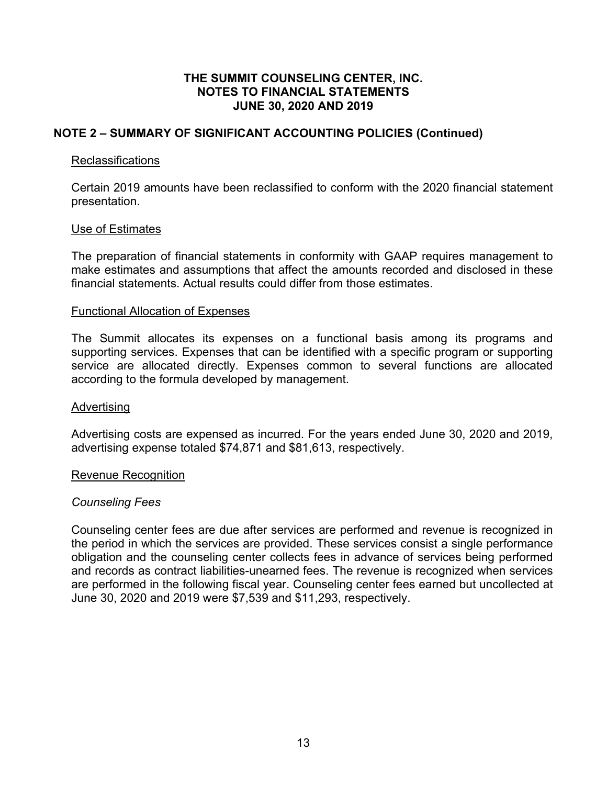## **NOTE 2 – SUMMARY OF SIGNIFICANT ACCOUNTING POLICIES (Continued)**

#### Reclassifications

Certain 2019 amounts have been reclassified to conform with the 2020 financial statement presentation.

#### Use of Estimates

The preparation of financial statements in conformity with GAAP requires management to make estimates and assumptions that affect the amounts recorded and disclosed in these financial statements. Actual results could differ from those estimates.

#### Functional Allocation of Expenses

The Summit allocates its expenses on a functional basis among its programs and supporting services. Expenses that can be identified with a specific program or supporting service are allocated directly. Expenses common to several functions are allocated according to the formula developed by management.

#### Advertising

Advertising costs are expensed as incurred. For the years ended June 30, 2020 and 2019, advertising expense totaled \$74,871 and \$81,613, respectively.

#### Revenue Recognition

#### *Counseling Fees*

Counseling center fees are due after services are performed and revenue is recognized in the period in which the services are provided. These services consist a single performance obligation and the counseling center collects fees in advance of services being performed and records as contract liabilities-unearned fees. The revenue is recognized when services are performed in the following fiscal year. Counseling center fees earned but uncollected at June 30, 2020 and 2019 were \$7,539 and \$11,293, respectively.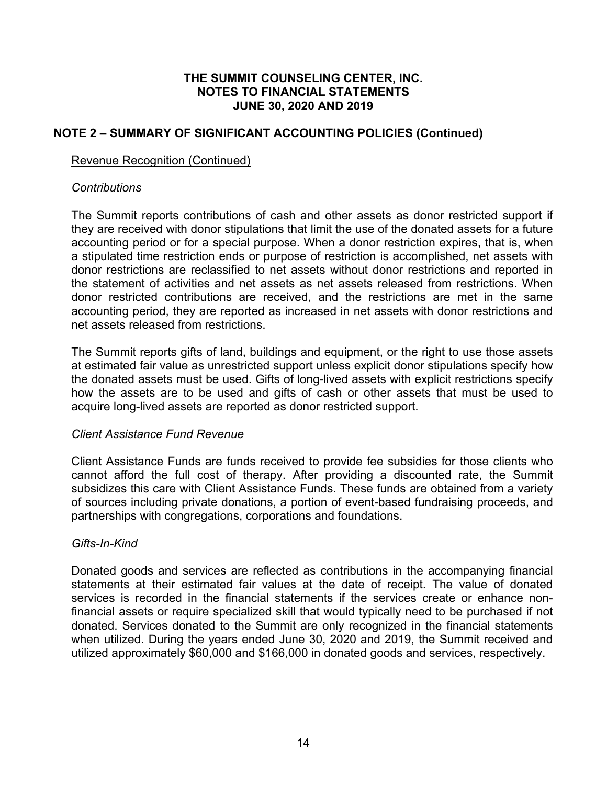# **NOTE 2 – SUMMARY OF SIGNIFICANT ACCOUNTING POLICIES (Continued)**

## Revenue Recognition (Continued)

## *Contributions*

The Summit reports contributions of cash and other assets as donor restricted support if they are received with donor stipulations that limit the use of the donated assets for a future accounting period or for a special purpose. When a donor restriction expires, that is, when a stipulated time restriction ends or purpose of restriction is accomplished, net assets with donor restrictions are reclassified to net assets without donor restrictions and reported in the statement of activities and net assets as net assets released from restrictions. When donor restricted contributions are received, and the restrictions are met in the same accounting period, they are reported as increased in net assets with donor restrictions and net assets released from restrictions.

The Summit reports gifts of land, buildings and equipment, or the right to use those assets at estimated fair value as unrestricted support unless explicit donor stipulations specify how the donated assets must be used. Gifts of long-lived assets with explicit restrictions specify how the assets are to be used and gifts of cash or other assets that must be used to acquire long-lived assets are reported as donor restricted support.

## *Client Assistance Fund Revenue*

Client Assistance Funds are funds received to provide fee subsidies for those clients who cannot afford the full cost of therapy. After providing a discounted rate, the Summit subsidizes this care with Client Assistance Funds. These funds are obtained from a variety of sources including private donations, a portion of event-based fundraising proceeds, and partnerships with congregations, corporations and foundations.

## *Gifts-In-Kind*

Donated goods and services are reflected as contributions in the accompanying financial statements at their estimated fair values at the date of receipt. The value of donated services is recorded in the financial statements if the services create or enhance nonfinancial assets or require specialized skill that would typically need to be purchased if not donated. Services donated to the Summit are only recognized in the financial statements when utilized. During the years ended June 30, 2020 and 2019, the Summit received and utilized approximately \$60,000 and \$166,000 in donated goods and services, respectively.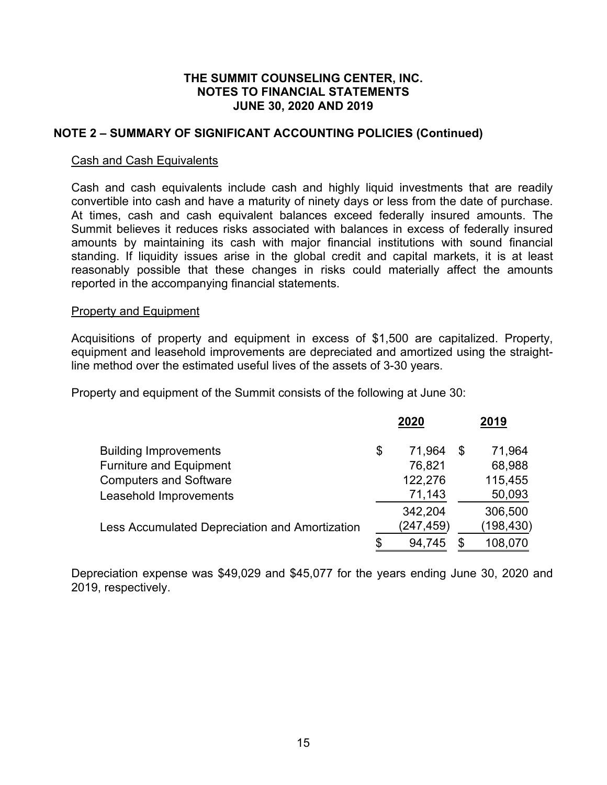## **NOTE 2 – SUMMARY OF SIGNIFICANT ACCOUNTING POLICIES (Continued)**

### Cash and Cash Equivalents

Cash and cash equivalents include cash and highly liquid investments that are readily convertible into cash and have a maturity of ninety days or less from the date of purchase. At times, cash and cash equivalent balances exceed federally insured amounts. The Summit believes it reduces risks associated with balances in excess of federally insured amounts by maintaining its cash with major financial institutions with sound financial standing. If liquidity issues arise in the global credit and capital markets, it is at least reasonably possible that these changes in risks could materially affect the amounts reported in the accompanying financial statements.

#### Property and Equipment

Acquisitions of property and equipment in excess of \$1,500 are capitalized. Property, equipment and leasehold improvements are depreciated and amortized using the straightline method over the estimated useful lives of the assets of 3-30 years.

Property and equipment of the Summit consists of the following at June 30:

|                                                |    | 2020       |    | 2019      |
|------------------------------------------------|----|------------|----|-----------|
| <b>Building Improvements</b>                   | \$ | 71,964     | \$ | 71,964    |
| <b>Furniture and Equipment</b>                 |    | 76,821     |    | 68,988    |
| <b>Computers and Software</b>                  |    | 122,276    |    | 115,455   |
| Leasehold Improvements                         |    | 71,143     |    | 50,093    |
|                                                |    | 342,204    |    | 306,500   |
| Less Accumulated Depreciation and Amortization |    | (247, 459) |    | (198,430) |
|                                                | S  | 94,745     | S  | 108,070   |

Depreciation expense was \$49,029 and \$45,077 for the years ending June 30, 2020 and 2019, respectively.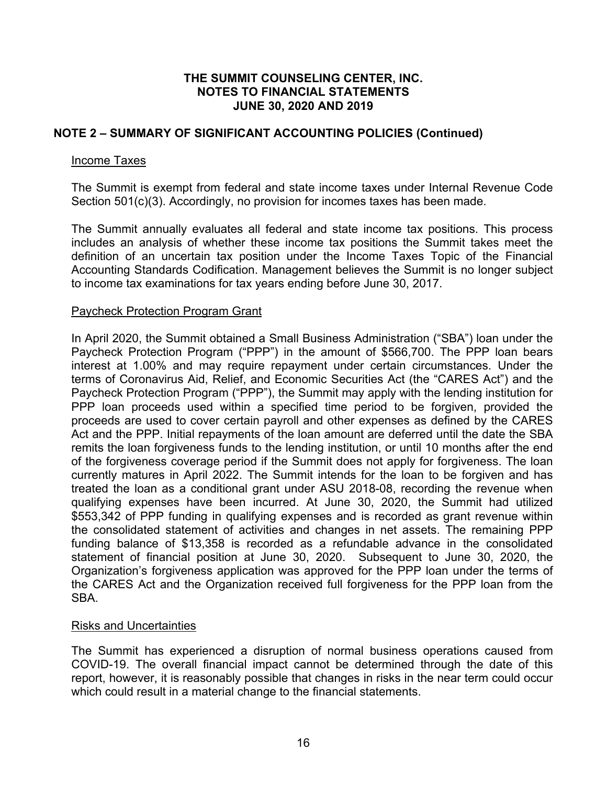## **NOTE 2 – SUMMARY OF SIGNIFICANT ACCOUNTING POLICIES (Continued)**

## Income Taxes

The Summit is exempt from federal and state income taxes under Internal Revenue Code Section 501(c)(3). Accordingly, no provision for incomes taxes has been made.

The Summit annually evaluates all federal and state income tax positions. This process includes an analysis of whether these income tax positions the Summit takes meet the definition of an uncertain tax position under the Income Taxes Topic of the Financial Accounting Standards Codification. Management believes the Summit is no longer subject to income tax examinations for tax years ending before June 30, 2017.

## Paycheck Protection Program Grant

In April 2020, the Summit obtained a Small Business Administration ("SBA") loan under the Paycheck Protection Program ("PPP") in the amount of \$566,700. The PPP loan bears interest at 1.00% and may require repayment under certain circumstances. Under the terms of Coronavirus Aid, Relief, and Economic Securities Act (the "CARES Act") and the Paycheck Protection Program ("PPP"), the Summit may apply with the lending institution for PPP loan proceeds used within a specified time period to be forgiven, provided the proceeds are used to cover certain payroll and other expenses as defined by the CARES Act and the PPP. Initial repayments of the loan amount are deferred until the date the SBA remits the loan forgiveness funds to the lending institution, or until 10 months after the end of the forgiveness coverage period if the Summit does not apply for forgiveness. The loan currently matures in April 2022. The Summit intends for the loan to be forgiven and has treated the loan as a conditional grant under ASU 2018-08, recording the revenue when qualifying expenses have been incurred. At June 30, 2020, the Summit had utilized \$553,342 of PPP funding in qualifying expenses and is recorded as grant revenue within the consolidated statement of activities and changes in net assets. The remaining PPP funding balance of \$13,358 is recorded as a refundable advance in the consolidated statement of financial position at June 30, 2020. Subsequent to June 30, 2020, the Organization's forgiveness application was approved for the PPP loan under the terms of the CARES Act and the Organization received full forgiveness for the PPP loan from the SBA.

#### Risks and Uncertainties

The Summit has experienced a disruption of normal business operations caused from COVID-19. The overall financial impact cannot be determined through the date of this report, however, it is reasonably possible that changes in risks in the near term could occur which could result in a material change to the financial statements.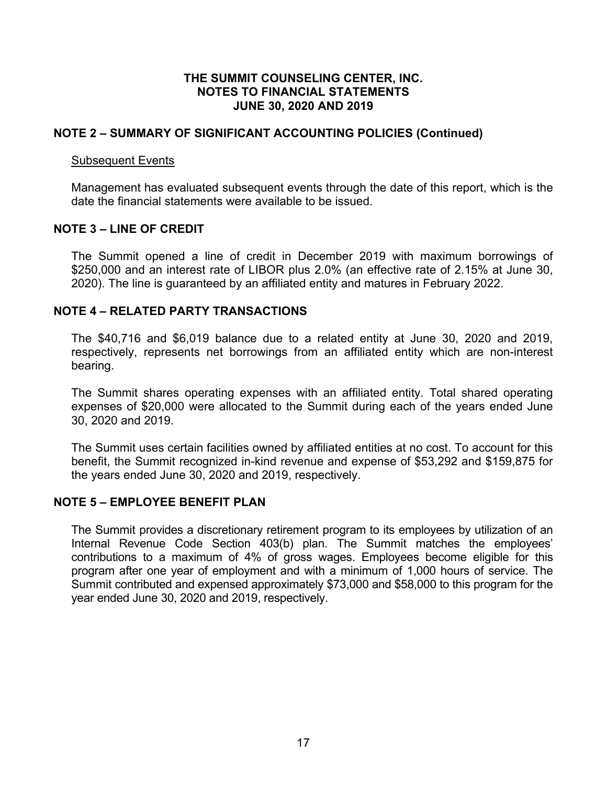## **NOTE 2 – SUMMARY OF SIGNIFICANT ACCOUNTING POLICIES (Continued)**

#### Subsequent Events

Management has evaluated subsequent events through the date of this report, which is the date the financial statements were available to be issued.

## **NOTE 3 – LINE OF CREDIT**

The Summit opened a line of credit in December 2019 with maximum borrowings of \$250,000 and an interest rate of LIBOR plus 2.0% (an effective rate of 2.15% at June 30, 2020). The line is guaranteed by an affiliated entity and matures in February 2022.

## **NOTE 4 – RELATED PARTY TRANSACTIONS**

The \$40,716 and \$6,019 balance due to a related entity at June 30, 2020 and 2019, respectively, represents net borrowings from an affiliated entity which are non-interest bearing.

The Summit shares operating expenses with an affiliated entity. Total shared operating expenses of \$20,000 were allocated to the Summit during each of the years ended June 30, 2020 and 2019.

The Summit uses certain facilities owned by affiliated entities at no cost. To account for this benefit, the Summit recognized in-kind revenue and expense of \$53,292 and \$159,875 for the years ended June 30, 2020 and 2019, respectively.

#### **NOTE 5 – EMPLOYEE BENEFIT PLAN**

The Summit provides a discretionary retirement program to its employees by utilization of an Internal Revenue Code Section 403(b) plan. The Summit matches the employees' contributions to a maximum of 4% of gross wages. Employees become eligible for this program after one year of employment and with a minimum of 1,000 hours of service. The Summit contributed and expensed approximately \$73,000 and \$58,000 to this program for the year ended June 30, 2020 and 2019, respectively.